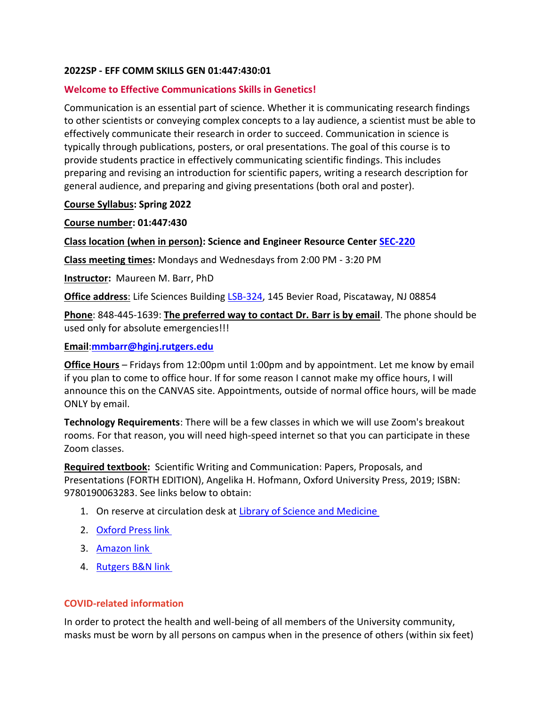#### **2022SP - EFF COMM SKILLS GEN 01:447:430:01**

## **Welcome to Effective Communications Skills in Genetics!**

Communication is an essential part of science. Whether it is communicating research findings to other scientists or conveying complex concepts to a lay audience, a scientist must be able to effectively communicate their research in order to succeed. Communication in science is typically through publications, posters, or oral presentations. The goal of this course is to provide students practice in effectively communicating scientific findings. This includes preparing and revising an introduction for scientific papers, writing a research description for general audience, and preparing and giving presentations (both oral and poster).

## **Course Syllabus: Spring 2022**

**Course number: 01:447:430** 

**Class location (when in person): Science and Engineer Resource Center [SEC-220](https://maps.rutgers.edu/#/?click=true&lat=40.522733&lng=-74.462826&selected=3854&sidebar=true&zoom=20)**

**Class meeting times:** Mondays and Wednesdays from 2:00 PM - 3:20 PM

**Instructor:** Maureen M. Barr, PhD

**Office address**: Life Sciences Building [LSB-324,](https://maps.rutgers.edu/#/?click=true&lat=40.524579&lng=-74.463302&selected=3894&sidebar=true&zoom=20) 145 Bevier Road, Piscataway, NJ 08854

**Phone**: 848-445-1639: **The preferred way to contact Dr. Barr is by email**. The phone should be used only for absolute emergencies!!!

## **Email**:**mmbarr@hginj.rutgers.edu**

**Office Hours** – Fridays from 12:00pm until 1:00pm and by appointment. Let me know by email if you plan to come to office hour. If for some reason I cannot make my office hours, I will announce this on the CANVAS site. Appointments, outside of normal office hours, will be made ONLY by email.

**Technology Requirements**: There will be a few classes in which we will use Zoom's breakout rooms. For that reason, you will need high-speed internet so that you can participate in these Zoom classes.

**Required textbook:** Scientific Writing and Communication: Papers, Proposals, and Presentations (FORTH EDITION), Angelika H. Hofmann, Oxford University Press, 2019; ISBN: 9780190063283. See links below to obtain:

- 1. On reserve at circulation desk at [Library of Science and Medicine](https://www.libraries.rutgers.edu/new-brunswick/visit-study/locations/library-science-medicine)
- 2. [Oxford Press link](https://global.oup.com/ushe/product/scientific-writing-and-communication-9780190063283?cc=us&lang=en&q=9780190063283)
- 3. [Amazon link](https://www.amazon.com/Scientific-Writing-Communication-Proposals-Presentations/dp/0190063289/ref=sr_1_1?dchild=1&keywords=ISBN%3A+9780190063283.&qid=1625912233&s=books&sr=1-1)
- 4. [Rutgers B&N link](https://rutgers.bncollege.com/Textbooks/Scientific-Writing-and-Communication-Papers-Proposals-and-Presentations/p/MBS_2311152_new?currentCampus=660)

# **COVID-related information**

In order to protect the health and well-being of all members of the University community, masks must be worn by all persons on campus when in the presence of others (within six feet)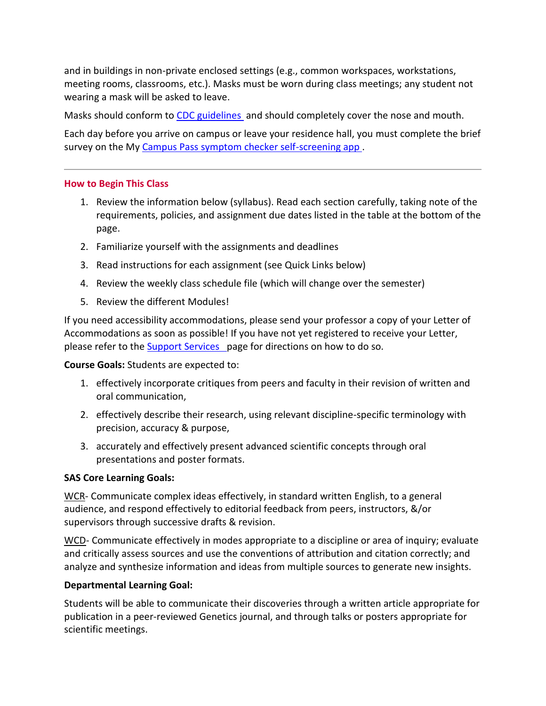and in buildings in non-private enclosed settings (e.g., common workspaces, workstations, meeting rooms, classrooms, etc.). Masks must be worn during class meetings; any student not wearing a mask will be asked to leave.

Masks should conform to [CDC guidelines](https://www.cdc.gov/coronavirus/2019-ncov/prevent-getting-sick/about-face-coverings.html) and should completely cover the nose and mouth.

Each day before you arrive on campus or leave your residence hall, you must complete the brief survey on the My [Campus Pass symptom checker self-screening app](https://coronavirus.rutgers.edu/symptom-checker/).

## **How to Begin This Class**

- 1. Review the information below (syllabus). Read each section carefully, taking note of the requirements, policies, and assignment due dates listed in the table at the bottom of the page.
- 2. Familiarize yourself with the assignments and deadlines
- 3. Read instructions for each assignment (see Quick Links below)
- 4. Review the weekly class schedule fil[e](https://rutgers.instructure.com/courses/134068/files/18808761/download?download_frd=1) (which will change over the semester)
- 5. Review the different Modules!

If you need accessibility accommodations, please send your professor a copy of your Letter of Accommodations as soon as possible! If you have not yet registered to receive your Letter, please refer to the [Support Services p](https://ods.rutgers.edu/letter-accommodation)age for directions on how to do so.

#### **Course Goals:** Students are expected to:

- 1. effectively incorporate critiques from peers and faculty in their revision of written and oral communication,
- 2. effectively describe their research, using relevant discipline-specific terminology with precision, accuracy & purpose,
- 3. accurately and effectively present advanced scientific concepts through oral presentations and poster formats.

# **SAS Core Learning Goals:**

WCR- Communicate complex ideas effectively, in standard written English, to a general audience, and respond effectively to editorial feedback from peers, instructors, &/or supervisors through successive drafts & revision.

WCD- Communicate effectively in modes appropriate to a discipline or area of inquiry; evaluate and critically assess sources and use the conventions of attribution and citation correctly; and analyze and synthesize information and ideas from multiple sources to generate new insights.

# **Departmental Learning Goal:**

Students will be able to communicate their discoveries through a written article appropriate for publication in a peer-reviewed Genetics journal, and through talks or posters appropriate for scientific meetings.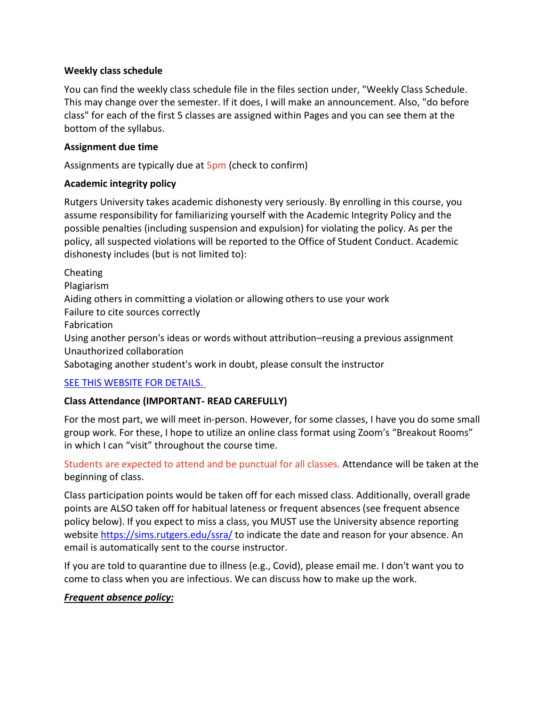## **Weekly class schedule**

You can find the weekly class schedule file in the files section under, "Weekly Class Schedule. This may change over the semester. If it does, I will make an announcement. Also, "do before class" for each of the first 5 classes are assigned within Pages and you can see them at the bottom of the syllabus.

## **Assignment due time**

Assignments are typically due at 5pm (check to confirm)

# **Academic integrity policy**

Rutgers University takes academic dishonesty very seriously. By enrolling in this course, you assume responsibility for familiarizing yourself with the Academic Integrity Policy and the possible penalties (including suspension and expulsion) for violating the policy. As per the policy, all suspected violations will be reported to the Office of Student Conduct. Academic dishonesty includes (but is not limited to):

Cheating Plagiarism Aiding others in committing a violation or allowing others to use your work Failure to cite sources correctly Fabrication Using another person's ideas or words without attribution–reusing a previous assignment Unauthorized collaboration Sabotaging another student's work in doubt, please consult the instructor [SEE THIS WEBSITE FOR DETAILS.](https://nbprovost.rutgers.edu/academic-integrity-students)

# **Class Attendance (IMPORTANT- READ CAREFULLY)**

For the most part, we will meet in-person. However, for some classes, I have you do some small group work. For these, I hope to utilize an online class format using Zoom's "Breakout Rooms" in which I can "visit" throughout the course time.

Students are expected to attend and be punctual for all classes. Attendance will be taken at the beginning of class.

Class participation points would be taken off for each missed class. Additionally, overall grade points are ALSO taken off for habitual lateness or frequent absences (see frequent absence policy below). If you expect to miss a class, you MUST use the University absence reporting website<https://sims.rutgers.edu/ssra/> to indicate the date and reason for your absence. An email is automatically sent to the course instructor.

If you are told to quarantine due to illness (e.g., Covid), please email me. I don't want you to come to class when you are infectious. We can discuss how to make up the work.

# *Frequent absence policy:*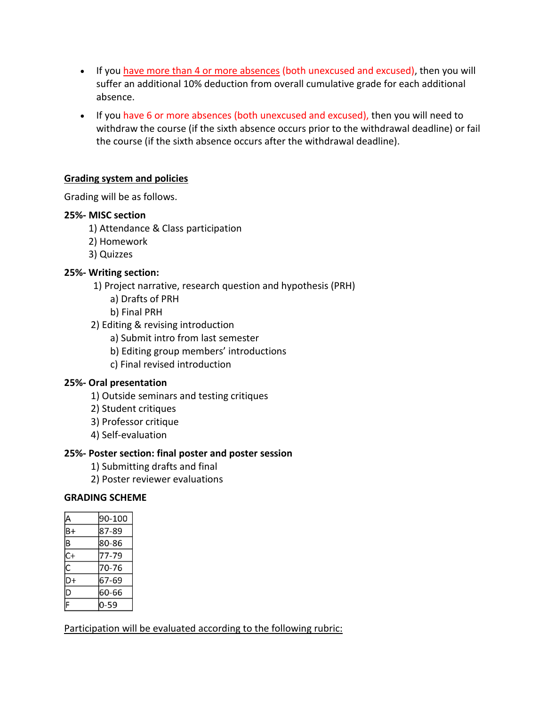- If you have more than 4 or more absences (both unexcused and excused), then you will suffer an additional 10% deduction from overall cumulative grade for each additional absence.
- If you have 6 or more absences (both unexcused and excused), then you will need to withdraw the course (if the sixth absence occurs prior to the withdrawal deadline) or fail the course (if the sixth absence occurs after the withdrawal deadline).

# **Grading system and policies**

Grading will be as follows.

## **25%- MISC section**

- 1) Attendance & Class participation
- 2) Homework
- 3) Quizzes

## **25%- Writing section:**

- 1) Project narrative, research question and hypothesis (PRH)
	- a) Drafts of PRH
	- b) Final PRH
- 2) Editing & revising introduction
	- a) Submit intro from last semester
	- b) Editing group members' introductions
	- c) Final revised introduction

#### **25%- Oral presentation**

- 1) Outside seminars and testing critiques
- 2) Student critiques
- 3) Professor critique
- 4) Self-evaluation

#### **25%- Poster section: final poster and poster session**

- 1) Submitting drafts and final
- 2) Poster reviewer evaluations

#### **GRADING SCHEME**

|    | 90-100 |
|----|--------|
|    |        |
| B+ | 87-89  |
| B  | 80-86  |
| C+ | 77-79  |
| Ć  | 70-76  |
| D+ | 67-69  |
| D  | 60-66  |
|    | 0-59   |

Participation will be evaluated according to the following rubric: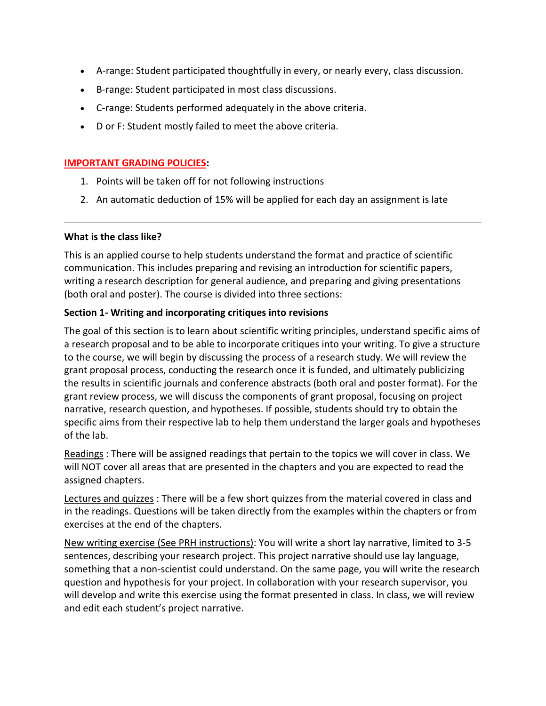- A-range: Student participated thoughtfully in every, or nearly every, class discussion.
- B-range: Student participated in most class discussions.
- C-range: Students performed adequately in the above criteria.
- D or F: Student mostly failed to meet the above criteria.

#### **IMPORTANT GRADING POLICIES:**

- 1. Points will be taken off for not following instructions
- 2. An automatic deduction of 15% will be applied for each day an assignment is late

#### **What is the class like?**

This is an applied course to help students understand the format and practice of scientific communication. This includes preparing and revising an introduction for scientific papers, writing a research description for general audience, and preparing and giving presentations (both oral and poster). The course is divided into three sections:

#### **Section 1- Writing and incorporating critiques into revisions**

The goal of this section is to learn about scientific writing principles, understand specific aims of a research proposal and to be able to incorporate critiques into your writing. To give a structure to the course, we will begin by discussing the process of a research study. We will review the grant proposal process, conducting the research once it is funded, and ultimately publicizing the results in scientific journals and conference abstracts (both oral and poster format). For the grant review process, we will discuss the components of grant proposal, focusing on project narrative, research question, and hypotheses. If possible, students should try to obtain the specific aims from their respective lab to help them understand the larger goals and hypotheses of the lab.

Readings : There will be assigned readings that pertain to the topics we will cover in class. We will NOT cover all areas that are presented in the chapters and you are expected to read the assigned chapters.

Lectures and quizzes : There will be a few short quizzes from the material covered in class and in the readings. Questions will be taken directly from the examples within the chapters or from exercises at the end of the chapters.

New writing exercise (See PRH instructions): You will write a short lay narrative, limited to 3-5 sentences, describing your research project. This project narrative should use lay language, something that a non-scientist could understand. On the same page, you will write the research question and hypothesis for your project. In collaboration with your research supervisor, you will develop and write this exercise using the format presented in class. In class, we will review and edit each student's project narrative.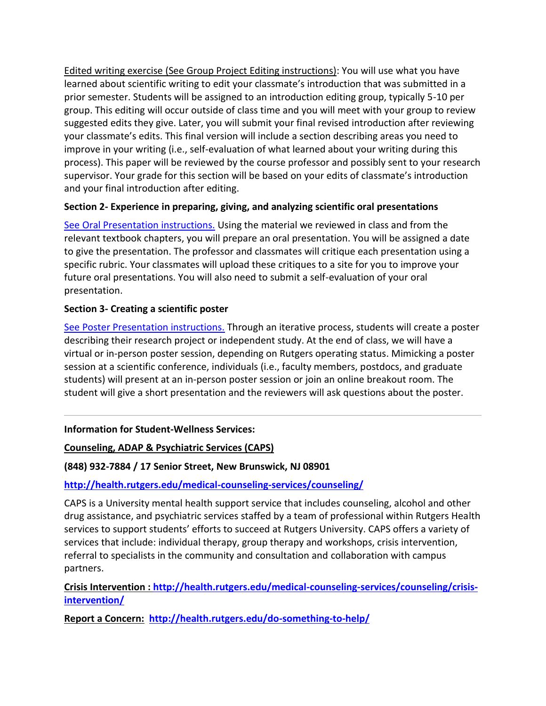Edited writing exercise (See Group Project Editing instructions): You will use what you have learned about scientific writing to edit your classmate's introduction that was submitted in a prior semester. Students will be assigned to an introduction editing group, typically 5-10 per group. This editing will occur outside of class time and you will meet with your group to review suggested edits they give. Later, you will submit your final revised introduction after reviewing your classmate's edits. This final version will include a section describing areas you need to improve in your writing (i.e., self-evaluation of what learned about your writing during this process). This paper will be reviewed by the course professor and possibly sent to your research supervisor. Your grade for this section will be based on your edits of classmate's introduction and your final introduction after editing.

# **Section 2- Experience in preparing, giving, and analyzing scientific oral presentations**

[See Oral Presentation instructions.](https://rutgers.instructure.com/courses/134068/pages/oral-presentation-instructions) Using the material we reviewed in class and from the relevant textbook chapters, you will prepare an oral presentation. You will be assigned a date to give the presentation. The professor and classmates will critique each presentation using a specific rubric. Your classmates will upload these critiques to a site for you to improve your future oral presentations. You will also need to submit a self-evaluation of your oral presentation.

## **Section 3- Creating a scientific poster**

[See Poster Presentation instructions.](https://rutgers.instructure.com/courses/134068/pages/poster-presentation-instructions-for-preparing-your-poster) Through an iterative process, students will create a poster describing their research project or independent study. At the end of class, we will have a virtual or in-person poster session, depending on Rutgers operating status. Mimicking a poster session at a scientific conference, individuals (i.e., faculty members, postdocs, and graduate students) will present at an in-person poster session or join an online breakout room. The student will give a short presentation and the reviewers will ask questions about the poster.

#### **Information for Student-Wellness Services:**

**Counseling, ADAP & Psychiatric Services (CAPS)**

**(848) 932-7884 / 17 Senior Street, New Brunswick, NJ 08901** 

**<http://health.rutgers.edu/medical-counseling-services/counseling/>**

CAPS is a University mental health support service that includes counseling, alcohol and other drug assistance, and psychiatric services staffed by a team of professional within Rutgers Health services to support students' efforts to succeed at Rutgers University. CAPS offers a variety of services that include: individual therapy, group therapy and workshops, crisis intervention, referral to specialists in the community and consultation and collaboration with campus partners.

**Crisis Intervention : [http://health.rutgers.edu/medical-counseling-services/counseling/crisis](http://health.rutgers.edu/medical-counseling-services/counseling/crisis-intervention/)[intervention/](http://health.rutgers.edu/medical-counseling-services/counseling/crisis-intervention/)**

**Report a Concern: <http://health.rutgers.edu/do-something-to-help/>**